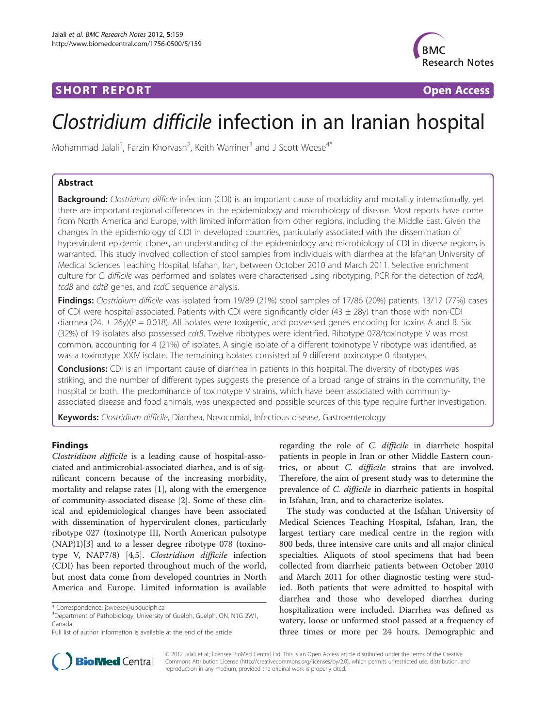## **SHORT REPORT SHORT CONSUMING THE SHORT CONSUMING THE SHORT CONSUMING THE SHORT CONSUMING THE SHORT CONSUMING THE SHORT CONSUMING THE SHORT CONSUMING THE SHORT CONSUMING THE SHORT CONSUMING THE SHORT CONSUMING THE SHORT**



# Clostridium difficile infection in an Iranian hospital

Mohammad Jalali<sup>1</sup>, Farzin Khorvash<sup>2</sup>, Keith Warriner<sup>3</sup> and J Scott Weese<sup>4\*</sup>

## Abstract

Background: Clostridium difficile infection (CDI) is an important cause of morbidity and mortality internationally, yet there are important regional differences in the epidemiology and microbiology of disease. Most reports have come from North America and Europe, with limited information from other regions, including the Middle East. Given the changes in the epidemiology of CDI in developed countries, particularly associated with the dissemination of hypervirulent epidemic clones, an understanding of the epidemiology and microbiology of CDI in diverse regions is warranted. This study involved collection of stool samples from individuals with diarrhea at the Isfahan University of Medical Sciences Teaching Hospital, Isfahan, Iran, between October 2010 and March 2011. Selective enrichment culture for C. difficile was performed and isolates were characterised using ribotyping, PCR for the detection of tcdA, tcdB and cdtB genes, and tcdC sequence analysis.

Findings: Clostridium difficile was isolated from 19/89 (21%) stool samples of 17/86 (20%) patients. 13/17 (77%) cases of CDI were hospital-associated. Patients with CDI were significantly older (43  $\pm$  28y) than those with non-CDI diarrhea (24,  $\pm$  26y)( $P = 0.018$ ). All isolates were toxigenic, and possessed genes encoding for toxins A and B. Six (32%) of 19 isolates also possessed cdtB. Twelve ribotypes were identified. Ribotype 078/toxinotype V was most common, accounting for 4 (21%) of isolates. A single isolate of a different toxinotype V ribotype was identified, as was a toxinotype XXIV isolate. The remaining isolates consisted of 9 different toxinotype 0 ribotypes.

Conclusions: CDI is an important cause of diarrhea in patients in this hospital. The diversity of ribotypes was striking, and the number of different types suggests the presence of a broad range of strains in the community, the hospital or both. The predominance of toxinotype V strains, which have been associated with communityassociated disease and food animals, was unexpected and possible sources of this type require further investigation.

Keywords: Clostridium difficile, Diarrhea, Nosocomial, Infectious disease, Gastroenterology

## Findings

Clostridium difficile is a leading cause of hospital-associated and antimicrobial-associated diarhea, and is of significant concern because of the increasing morbidity, mortality and relapse rates [[1\]](#page-3-0), along with the emergence of community-associated disease [\[2](#page-3-0)]. Some of these clinical and epidemiological changes have been associated with dissemination of hypervirulent clones, particularly ribotype 027 (toxinotype III, North American pulsotype (NAP)1)[[3\]](#page-3-0) and to a lesser degree ribotype 078 (toxinotype V, NAP7/8) [\[4,5](#page-3-0)]. Clostridium difficile infection (CDI) has been reported throughout much of the world, but most data come from developed countries in North America and Europe. Limited information is available

regarding the role of C. difficile in diarrheic hospital patients in people in Iran or other Middle Eastern countries, or about C. difficile strains that are involved. Therefore, the aim of present study was to determine the prevalence of *C. difficile* in diarrheic patients in hospital in Isfahan, Iran, and to characterize isolates.

The study was conducted at the Isfahan University of Medical Sciences Teaching Hospital, Isfahan, Iran, the largest tertiary care medical centre in the region with 800 beds, three intensive care units and all major clinical specialties. Aliquots of stool specimens that had been collected from diarrheic patients between October 2010 and March 2011 for other diagnostic testing were studied. Both patients that were admitted to hospital with diarrhea and those who developed diarrhea during hospitalization were included. Diarrhea was defined as watery, loose or unformed stool passed at a frequency of three times or more per 24 hours. Demographic and



© 2012 Jalali et al.; licensee BioMed Central Ltd. This is an Open Access article distributed under the terms of the Creative Commons Attribution License ([http://creativecommons.org/licenses/by/2.0\)](http://www.webcitation.org/64HSI8B56), which permits unrestricted use, distribution, and reproduction in any medium, provided the original work is properly cited.

<sup>\*</sup> Correspondence: [jsweese@uoguelph.ca](mailto:jsweese@uoguelph.ca) <sup>4</sup>

Department of Pathobiology, University of Guelph, Guelph, ON, N1G 2W1, Canada

Full list of author information is available at the end of the article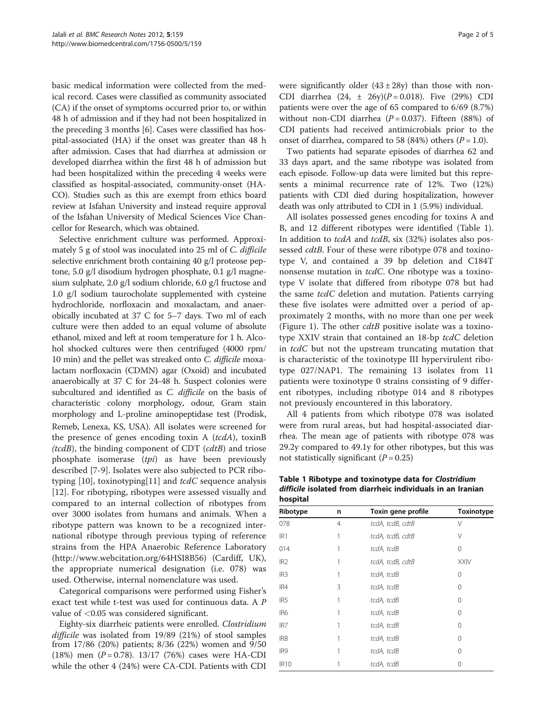basic medical information were collected from the medical record. Cases were classified as community associated (CA) if the onset of symptoms occurred prior to, or within 48 h of admission and if they had not been hospitalized in the preceding 3 months [\[6](#page-3-0)]. Cases were classified has hospital-associated (HA) if the onset was greater than 48 h after admission. Cases that had diarrhea at admission or developed diarrhea within the first 48 h of admission but had been hospitalized within the preceding 4 weeks were classified as hospital-associated, community-onset (HA-CO). Studies such as this are exempt from ethics board review at Isfahan University and instead require approval of the Isfahan University of Medical Sciences Vice Chancellor for Research, which was obtained.

Selective enrichment culture was performed. Approximately 5 g of stool was inoculated into 25 ml of C. difficile selective enrichment broth containing 40 g/l proteose peptone, 5.0 g/l disodium hydrogen phosphate, 0.1 g/l magnesium sulphate, 2.0 g/l sodium chloride, 6.0 g/l fructose and 1.0 g/l sodium taurocholate supplemented with cysteine hydrochloride, norfloxacin and moxalactam, and anaerobically incubated at 37 C for 5–7 days. Two ml of each culture were then added to an equal volume of absolute ethanol, mixed and left at room temperature for 1 h. Alcohol shocked cultures were then centrifuged (4000 rpm/ 10 min) and the pellet was streaked onto C. difficile moxalactam norfloxacin (CDMN) agar (Oxoid) and incubated anaerobically at 37 C for 24-48 h. Suspect colonies were subcultured and identified as *C. difficile* on the basis of characteristic colony morphology, odour, Gram stain morphology and L-proline aminopeptidase test (Prodisk, Remeb, Lenexa, KS, USA). All isolates were screened for the presence of genes encoding toxin A  $(tcdA)$ , toxinB  $(tcdB)$ , the binding component of CDT  $(cdtB)$  and triose phosphate isomerase  $(tpi)$  as have been previously described [[7](#page-3-0)-[9\]](#page-3-0). Isolates were also subjected to PCR ribo-typing [[10](#page-3-0)], toxinotyping [[11\]](#page-3-0) and  $tcdC$  sequence analysis [[12\]](#page-3-0). For ribotyping, ribotypes were assessed visually and compared to an internal collection of ribotypes from over 3000 isolates from humans and animals. When a ribotype pattern was known to be a recognized international ribotype through previous typing of reference strains from the HPA Anaerobic Reference Laboratory (<http://www.webcitation.org/64HSI8B56>) (Cardiff, UK), the appropriate numerical designation (i.e. 078) was used. Otherwise, internal nomenclature was used.

Categorical comparisons were performed using Fisher's exact test while t-test was used for continuous data. A P value of <0.05 was considered significant.

Eighty-six diarrheic patients were enrolled. Clostridium difficile was isolated from 19/89 (21%) of stool samples from 17/86 (20%) patients; 8/36 (22%) women and 9/50 (18%) men  $(P = 0.78)$ . 13/17 (76%) cases were HA-CDI while the other 4 (24%) were CA-CDI. Patients with CDI were significantly older  $(43 \pm 28y)$  than those with non-CDI diarrhea  $(24, \pm 26y)(P = 0.018)$ . Five  $(29%)$  CDI patients were over the age of 65 compared to 6/69 (8.7%) without non-CDI diarrhea ( $P = 0.037$ ). Fifteen (88%) of CDI patients had received antimicrobials prior to the onset of diarrhea, compared to 58 (84%) others  $(P = 1.0)$ .

Two patients had separate episodes of diarrhea 62 and 33 days apart, and the same ribotype was isolated from each episode. Follow-up data were limited but this represents a minimal recurrence rate of 12%. Two (12%) patients with CDI died during hospitalization, however death was only attributed to CDI in 1 (5.9%) individual.

All isolates possessed genes encoding for toxins A and B, and 12 different ribotypes were identified (Table 1). In addition to *tcdA* and *tcdB*, six (32%) isolates also possessed *cdtB*. Four of these were ribotype 078 and toxinotype V, and contained a 39 bp deletion and C184T nonsense mutation in tcdC. One ribotype was a toxinotype V isolate that differed from ribotype 078 but had the same tcdC deletion and mutation. Patients carrying these five isolates were admitted over a period of approximately 2 months, with no more than one per week (Figure [1](#page-2-0)). The other  $cdtB$  positive isolate was a toxinotype XXIV strain that contained an 18-bp tcdC deletion in  $tcdC$  but not the upstream truncating mutation that is characteristic of the toxinotype III hypervirulent ribotype 027/NAP1. The remaining 13 isolates from 11 patients were toxinotype 0 strains consisting of 9 different ribotypes, including ribotype 014 and 8 ribotypes not previously encountered in this laboratory.

All 4 patients from which ribotype 078 was isolated were from rural areas, but had hospital-associated diarrhea. The mean age of patients with ribotype 078 was 29.2y compared to 49.1y for other ribotypes, but this was not statistically significant  $(P = 0.25)$ 

Table 1 Ribotype and toxinotype data for Clostridium difficile isolated from diarrheic individuals in an Iranian hospital

| ---- <b>-</b> ----- |   |                    |             |
|---------------------|---|--------------------|-------------|
| Ribotype            | n | Toxin gene profile | Toxinotype  |
| 078                 | 4 | tcdA, tcdB, cdtB   | V           |
| IR <sub>1</sub>     | 1 | tcdA, tcdB, cdtB   | V           |
| 014                 |   | tcdA, tcdB         | 0           |
| IR <sub>2</sub>     | 1 | tcdA, tcdB, cdtB   | <b>XXIV</b> |
| IR <sub>3</sub>     |   | tcdA, tcdB         | 0           |
| IR4                 | 3 | tcdA, tcdB         | 0           |
| IR5                 | 1 | tcdA, tcdB         | 0           |
| IR <sub>6</sub>     |   | tcdA, tcdB         | 0           |
| IR7                 |   | tcdA, tcdB         | $\Omega$    |
| IR8                 |   | tcdA, tcdB         | 0           |
| IR9                 |   | tcdA, tcdB         | 0           |
| <b>IR10</b>         |   | tcdA, tcdB         | 0           |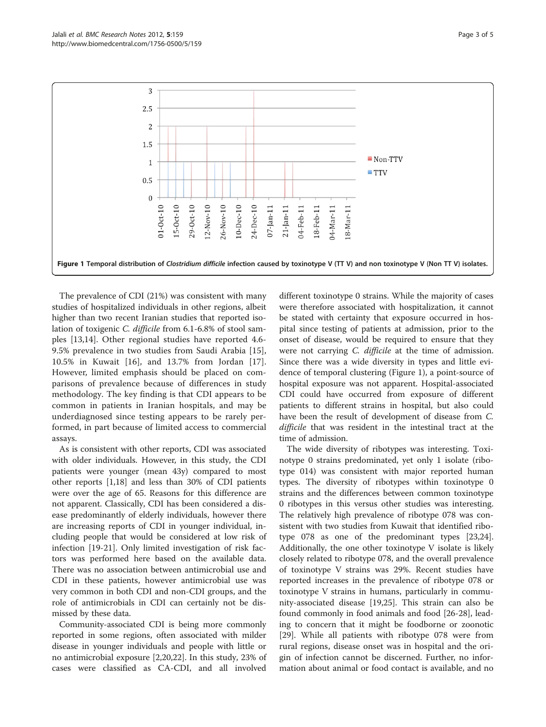<span id="page-2-0"></span>

The prevalence of CDI (21%) was consistent with many studies of hospitalized individuals in other regions, albeit higher than two recent Iranian studies that reported isolation of toxigenic C. difficile from 6.1-6.8% of stool samples [\[13,14\]](#page-3-0). Other regional studies have reported 4.6- 9.5% prevalence in two studies from Saudi Arabia [\[15](#page-3-0)], 10.5% in Kuwait [[16](#page-3-0)], and 13.7% from Jordan [\[17](#page-3-0)]. However, limited emphasis should be placed on comparisons of prevalence because of differences in study methodology. The key finding is that CDI appears to be common in patients in Iranian hospitals, and may be underdiagnosed since testing appears to be rarely performed, in part because of limited access to commercial assays.

As is consistent with other reports, CDI was associated with older individuals. However, in this study, the CDI patients were younger (mean 43y) compared to most other reports [\[1,18\]](#page-3-0) and less than 30% of CDI patients were over the age of 65. Reasons for this difference are not apparent. Classically, CDI has been considered a disease predominantly of elderly individuals, however there are increasing reports of CDI in younger individual, including people that would be considered at low risk of infection [[19-21\]](#page-3-0). Only limited investigation of risk factors was performed here based on the available data. There was no association between antimicrobial use and CDI in these patients, however antimicrobial use was very common in both CDI and non-CDI groups, and the role of antimicrobials in CDI can certainly not be dismissed by these data.

Community-associated CDI is being more commonly reported in some regions, often associated with milder disease in younger individuals and people with little or no antimicrobial exposure [[2,20](#page-3-0),[22](#page-3-0)]. In this study, 23% of cases were classified as CA-CDI, and all involved

different toxinotype 0 strains. While the majority of cases were therefore associated with hospitalization, it cannot be stated with certainty that exposure occurred in hospital since testing of patients at admission, prior to the onset of disease, would be required to ensure that they were not carrying *C. difficile* at the time of admission. Since there was a wide diversity in types and little evidence of temporal clustering (Figure 1), a point-source of hospital exposure was not apparent. Hospital-associated CDI could have occurred from exposure of different patients to different strains in hospital, but also could have been the result of development of disease from C. difficile that was resident in the intestinal tract at the time of admission.

The wide diversity of ribotypes was interesting. Toxinotype 0 strains predominated, yet only 1 isolate (ribotype 014) was consistent with major reported human types. The diversity of ribotypes within toxinotype 0 strains and the differences between common toxinotype 0 ribotypes in this versus other studies was interesting. The relatively high prevalence of ribotype 078 was consistent with two studies from Kuwait that identified ribotype 078 as one of the predominant types [[23](#page-3-0),[24](#page-3-0)]. Additionally, the one other toxinotype V isolate is likely closely related to ribotype 078, and the overall prevalence of toxinotype V strains was 29%. Recent studies have reported increases in the prevalence of ribotype 078 or toxinotype V strains in humans, particularly in community-associated disease [\[19](#page-3-0)[,25](#page-4-0)]. This strain can also be found commonly in food animals and food [\[26-28](#page-4-0)], leading to concern that it might be foodborne or zoonotic [[29\]](#page-4-0). While all patients with ribotype 078 were from rural regions, disease onset was in hospital and the origin of infection cannot be discerned. Further, no information about animal or food contact is available, and no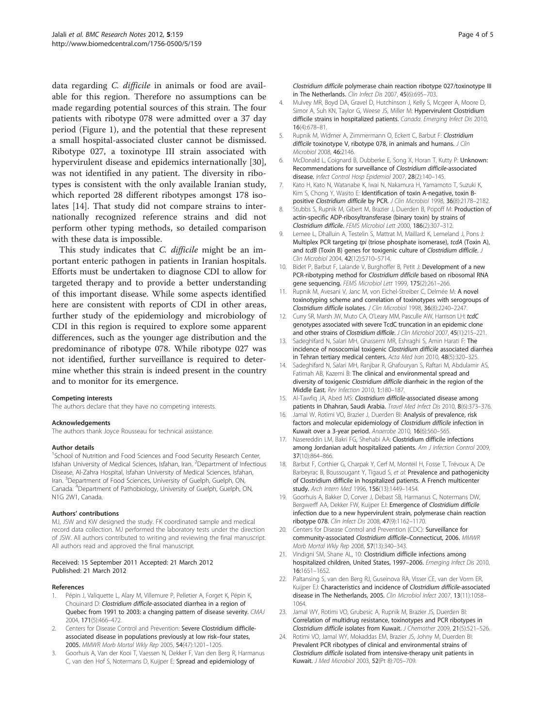<span id="page-3-0"></span>data regarding C. difficile in animals or food are available for this region. Therefore no assumptions can be made regarding potential sources of this strain. The four patients with ribotype 078 were admitted over a 37 day period (Figure [1](#page-2-0)), and the potential that these represent a small hospital-associated cluster cannot be dismissed. Ribotype 027, a toxinotype III strain associated with hypervirulent disease and epidemics internationally [\[30](#page-4-0)], was not identified in any patient. The diversity in ribotypes is consistent with the only available Iranian study, which reported 28 different ribotypes amongst 178 isolates [14]. That study did not compare strains to internationally recognized reference strains and did not perform other typing methods, so detailed comparison with these data is impossible.

This study indicates that *C. difficile* might be an important enteric pathogen in patients in Iranian hospitals. Efforts must be undertaken to diagnose CDI to allow for targeted therapy and to provide a better understanding of this important disease. While some aspects identified here are consistent with reports of CDI in other areas, further study of the epidemiology and microbiology of CDI in this region is required to explore some apparent differences, such as the younger age distribution and the predominance of ribotype 078. While ribotype 027 was not identified, further surveillance is required to determine whether this strain is indeed present in the country and to monitor for its emergence.

#### Competing interests

The authors declare that they have no competing interests.

#### Acknowledgements

The authors thank Joyce Rousseau for technical assistance.

#### Author details

<sup>1</sup>School of Nutrition and Food Sciences and Food Security Research Center, Isfahan University of Medical Sciences, Isfahan, Iran. <sup>2</sup>Department of Infectious Disease, Al-Zahra Hospital, Isfahan University of Medical Sciences, Isfahan, Iran. <sup>3</sup>Department of Food Sciences, University of Guelph, Guelph, ON, Canada. <sup>4</sup>Department of Pathobiology, University of Guelph, Guelph, ON, N1G 2W1, Canada.

#### Authors' contributions

MJ, JSW and KW designed the study. FK coordinated sample and medical record data collection. MJ performed the laboratory tests under the direction of JSW. All authors contributed to writing and reviewing the final manuscript. All authors read and approved the final manuscript.

#### Received: 15 September 2011 Accepted: 21 March 2012 Published: 21 March 2012

#### References

- Pépin J, Valiquette L, Alary M, Villemure P, Pelletier A, Forget K, Pépin K, Chouinard D: Clostridium difficile-associated diarrhea in a region of Quebec from 1991 to 2003: a changing pattern of disease severity. CMAJ 2004, 171(5):466–472.
- Centers for Disease Control and Prevention: Severe Clostridium difficileassociated disease in populations previously at low risk–four states, 2005. MMWR Morb Mortal Wkly Rep 2005, 54(47):1201–1205.
- 3. Goorhuis A, Van der Kooi T, Vaessen N, Dekker F, Van den Berg R, Harmanus C, van den Hof S, Notermans D, Kuijper E: Spread and epidemiology of

Clostridium difficile polymerase chain reaction ribotype 027/toxinotype III in The Netherlands. Clin Infect Dis 2007, 45(6):695-703.

- 4. Mulvey MR, Boyd DA, Gravel D, Hutchinson J, Kelly S, Mcgeer A, Moore D, Simor A, Suh KN, Taylor G, Weese JS, Miller M: Hypervirulent Clostridium difficile strains in hospitalized patients. Canada. Emerging Infect Dis 2010, 16(4):678–81.
- 5. Rupnik M, Widmer A, Zimmermann O, Eckert C, Barbut F: Clostridium difficile toxinotype V, ribotype 078, in animals and humans. J Clin Microbiol 2008, 46:2146.
- 6. McDonald L, Coignard B, Dubberke E, Song X, Horan T, Kutty P: Unknown: Recommendations for surveillance of Clostridium difficile-associated disease. Infect Control Hosp Epidemiol 2007, 28(2):140–145.
- 7. Kato H, Kato N, Watanabe K, Iwai N, Nakamura H, Yamamoto T, Suzuki K, Kim S, Chong Y, Wasito E: Identification of toxin A-negative, toxin Bpositive Clostridium difficile by PCR. J Clin Microbiol 1998, 36(8):2178-2182.
- 8. Stubbs S, Rupnik M, Gibert M, Brazier J, Duerden B, Popoff M: Production of actin-specific ADP-ribosyltransferase (binary toxin) by strains of Clostridium difficile. FEMS Microbiol Lett 2000, 186(2):307–312.
- 9. Lemee L, Dhalluin A, Testelin S, Mattrat M, Maillard K, Lemeland J, Pons J: Multiplex PCR targeting tpi (triose phosphate isomerase), tcdA (Toxin A), and tcdB (Toxin B) genes for toxigenic culture of Clostridium difficile. Clin Microbiol 2004, 42(12):5710–5714.
- 10. Bidet P, Barbut F, Lalande V, Burghoffer B, Petit J: Development of a new PCR-ribotyping method for Clostridium difficile based on ribosomal RNA gene sequencing. FEMS Microbiol Lett 1999, 175(2):261–266.
- 11. Rupnik M, Avesani V, Janc M, von Fichel-Streiber C, Delmée M; A novel toxinotyping scheme and correlation of toxinotypes with serogroups of Clostridium difficile isolates. J Clin Microbiol 1998, 36(8):2240–2247.
- 12. Curry SR, Marsh JW, Muto CA, O'Leary MM, Pasculle AW, Harrison LH: tcdC genotypes associated with severe TcdC truncation in an epidemic clone and other strains of Clostridium difficile. J Clin Microbiol 2007, 45(1):215-221.
- 13. Sadeghifard N, Salari MH, Ghassemi MR, Eshraghi S, Amin Harati F: The incidence of nosocomial toxigenic Clostridium difficile associated diarrhea in Tehran tertiary medical centers. Acta Med Iran 2010, 48(5):320–325.
- 14. Sadeghifard N, Salari MH, Ranjbar R, Ghafouryan S, Raftari M, Abdulamir AS, Fatimah AB, Kazemi B: The clinical and environmental spread and diversity of toxigenic Clostridium difficile diarrheic in the region of the Middle East. Rev Infection 2010, 1:180–187.
- 15. Al-Tawfiq JA, Abed MS: Clostridium difficile-associated disease among patients in Dhahran, Saudi Arabia. Travel Med Infect Dis 2010, 8(6):373–376.
- 16. Jamal W, Rotimi VO, Brazier J, Duerden BI: Analysis of prevalence, risk factors and molecular epidemiology of Clostridium difficile infection in Kuwait over a 3-year period. Anaerobe 2010, 16(6):560–565.
- 17. Nasereddin LM, Bakri FG, Shehabi AA: Clostridium difficile infections among Jordanian adult hospitalized patients. Am J Infection Control 2009, 37(10):864–866.
- 18. Barbut F, Corthier G, Charpak Y, Cerf M, Monteil H, Fosse T, Trévoux A, De Barbeyrac B, Boussougant Y, Tigaud S, et al: Prevalence and pathogenicity of Clostridium difficile in hospitalized patients. A French multicenter study. Arch Intern Med 1996, 156(13):1449–1454.
- 19. Goorhuis A, Bakker D, Corver J, Debast SB, Harmanus C, Notermans DW, Bergwerff AA, Dekker FW, Kuijper EJ: Emergence of Clostridium difficile infection due to a new hypervirulent strain, polymerase chain reaction ribotype 078. Clin Infect Dis 2008, 47(9):1162–1170.
- 20. Centers for Disease Control and Prevention (CDC): Surveillance for community-associated Clostridium difficile–Connecticut, 2006. MMWR Morb Mortal Wkly Rep 2008, 57(13):340–343.
- 21. Vindigni SM, Shane AL, 10: Clostridium difficile infections among hospitalized children, United States, 1997–2006. Emerging Infect Dis 2010, 16:1651–1652.
- 22. Paltansing S, van den Berg RJ, Guseinova RA, Visser CE, van der Vorm ER, Kuijper EJ: Characteristics and incidence of Clostridium difficile-associated disease in The Netherlands, 2005. Clin Microbiol Infect 2007, 13(11):1058– 1064.
- 23. Jamal WY, Rotimi VO, Grubesic A, Rupnik M, Brazier JS, Duerden BI: Correlation of multidrug resistance, toxinotypes and PCR ribotypes in Clostridium difficile isolates from Kuwait. J Chemother 2009, 21(5):521–526.
- 24. Rotimi VO, Jamal WY, Mokaddas EM, Brazier JS, Johny M, Duerden BI: Prevalent PCR ribotypes of clinical and environmental strains of Clostridium difficile isolated from intensive-therapy unit patients in Kuwait. J Med Microbiol 2003, 52(Pt 8):705–709.